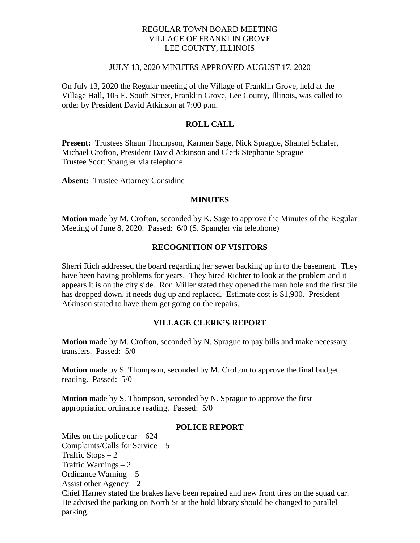## REGULAR TOWN BOARD MEETING VILLAGE OF FRANKLIN GROVE LEE COUNTY, ILLINOIS

### JULY 13, 2020 MINUTES APPROVED AUGUST 17, 2020

On July 13, 2020 the Regular meeting of the Village of Franklin Grove, held at the Village Hall, 105 E. South Street, Franklin Grove, Lee County, Illinois, was called to order by President David Atkinson at 7:00 p.m.

## **ROLL CALL**

**Present:** Trustees Shaun Thompson, Karmen Sage, Nick Sprague, Shantel Schafer, Michael Crofton, President David Atkinson and Clerk Stephanie Sprague Trustee Scott Spangler via telephone

**Absent:** Trustee Attorney Considine

#### **MINUTES**

**Motion** made by M. Crofton, seconded by K. Sage to approve the Minutes of the Regular Meeting of June 8, 2020. Passed: 6/0 (S. Spangler via telephone)

### **RECOGNITION OF VISITORS**

Sherri Rich addressed the board regarding her sewer backing up in to the basement. They have been having problems for years. They hired Richter to look at the problem and it appears it is on the city side. Ron Miller stated they opened the man hole and the first tile has dropped down, it needs dug up and replaced. Estimate cost is \$1,900. President Atkinson stated to have them get going on the repairs.

### **VILLAGE CLERK'S REPORT**

**Motion** made by M. Crofton, seconded by N. Sprague to pay bills and make necessary transfers. Passed: 5/0

**Motion** made by S. Thompson, seconded by M. Crofton to approve the final budget reading. Passed: 5/0

**Motion** made by S. Thompson, seconded by N. Sprague to approve the first appropriation ordinance reading. Passed: 5/0

#### **POLICE REPORT**

Miles on the police car  $-624$ Complaints/Calls for Service – 5 Traffic Stops  $-2$ Traffic Warnings – 2 Ordinance Warning – 5 Assist other  $Agency - 2$ Chief Harney stated the brakes have been repaired and new front tires on the squad car. He advised the parking on North St at the hold library should be changed to parallel parking.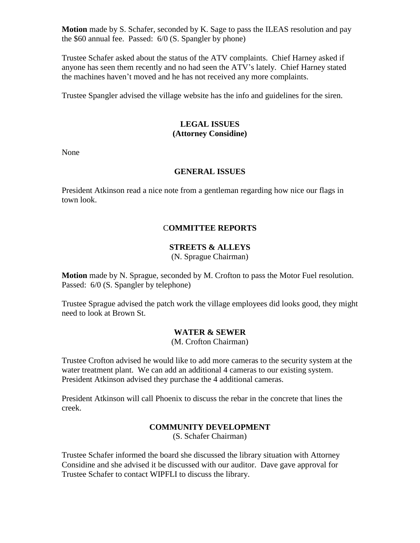**Motion** made by S. Schafer, seconded by K. Sage to pass the ILEAS resolution and pay the \$60 annual fee. Passed: 6/0 (S. Spangler by phone)

Trustee Schafer asked about the status of the ATV complaints. Chief Harney asked if anyone has seen them recently and no had seen the ATV's lately. Chief Harney stated the machines haven't moved and he has not received any more complaints.

Trustee Spangler advised the village website has the info and guidelines for the siren.

## **LEGAL ISSUES (Attorney Considine)**

None

# **GENERAL ISSUES**

President Atkinson read a nice note from a gentleman regarding how nice our flags in town look.

# C**OMMITTEE REPORTS**

# **STREETS & ALLEYS**

(N. Sprague Chairman)

**Motion** made by N. Sprague, seconded by M. Crofton to pass the Motor Fuel resolution. Passed: 6/0 (S. Spangler by telephone)

Trustee Sprague advised the patch work the village employees did looks good, they might need to look at Brown St.

# **WATER & SEWER**

(M. Crofton Chairman)

Trustee Crofton advised he would like to add more cameras to the security system at the water treatment plant. We can add an additional 4 cameras to our existing system. President Atkinson advised they purchase the 4 additional cameras.

President Atkinson will call Phoenix to discuss the rebar in the concrete that lines the creek.

# **COMMUNITY DEVELOPMENT**

(S. Schafer Chairman)

Trustee Schafer informed the board she discussed the library situation with Attorney Considine and she advised it be discussed with our auditor. Dave gave approval for Trustee Schafer to contact WIPFLI to discuss the library.